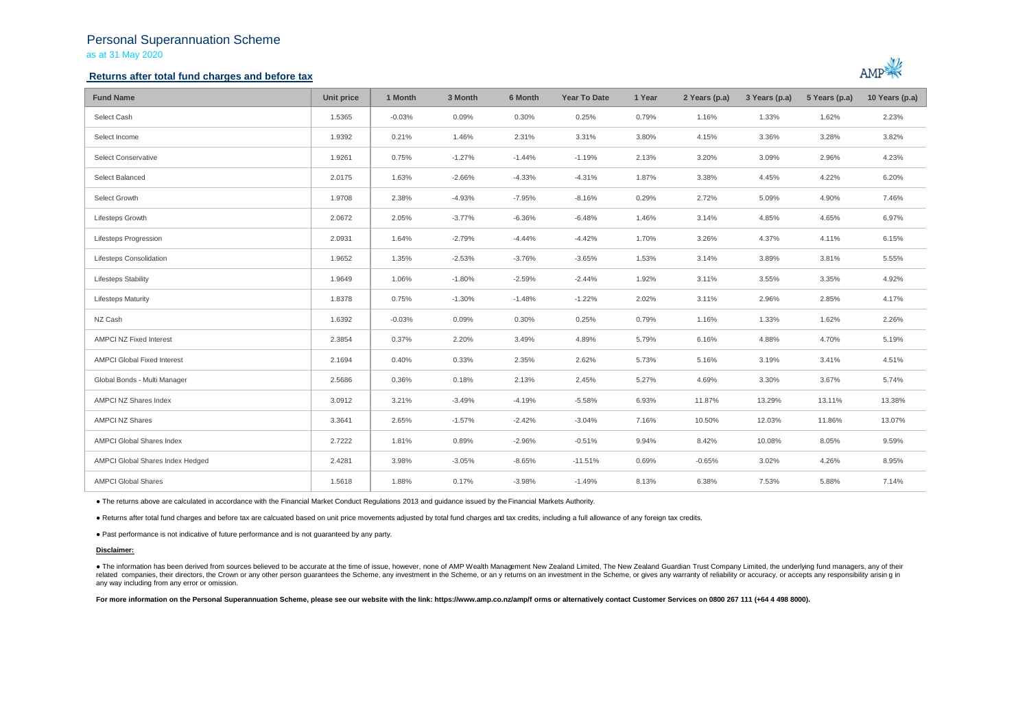## Personal Superannuation Scheme as at 31 May 2020

## **Returns after total fund charges and before tax**



| <b>Fund Name</b>                   | Unit price | 1 Month  | 3 Month  | 6 Month  | <b>Year To Date</b> | 1 Year | 2 Years (p.a) | 3 Years (p.a) | 5 Years (p.a) | 10 Years (p.a) |
|------------------------------------|------------|----------|----------|----------|---------------------|--------|---------------|---------------|---------------|----------------|
| Select Cash                        | 1.5365     | $-0.03%$ | 0.09%    | 0.30%    | 0.25%               | 0.79%  | 1.16%         | 1.33%         | 1.62%         | 2.23%          |
| Select Income                      | 1.9392     | 0.21%    | 1.46%    | 2.31%    | 3.31%               | 3.80%  | 4.15%         | 3.36%         | 3.28%         | 3.82%          |
| Select Conservative                | 1.9261     | 0.75%    | $-1.27%$ | $-1.44%$ | $-1.19%$            | 2.13%  | 3.20%         | 3.09%         | 2.96%         | 4.23%          |
| Select Balanced                    | 2.0175     | 1.63%    | $-2.66%$ | $-4.33%$ | $-4.31%$            | 1.87%  | 3.38%         | 4.45%         | 4.22%         | 6.20%          |
| Select Growth                      | 1.9708     | 2.38%    | $-4.93%$ | $-7.95%$ | $-8.16%$            | 0.29%  | 2.72%         | 5.09%         | 4.90%         | 7.46%          |
| Lifesteps Growth                   | 2.0672     | 2.05%    | $-3.77%$ | $-6.36%$ | $-6.48%$            | 1.46%  | 3.14%         | 4.85%         | 4.65%         | 6.97%          |
| <b>Lifesteps Progression</b>       | 2.0931     | 1.64%    | $-2.79%$ | $-4.44%$ | $-4.42%$            | 1.70%  | 3.26%         | 4.37%         | 4.11%         | 6.15%          |
| Lifesteps Consolidation            | 1.9652     | 1.35%    | $-2.53%$ | $-3.76%$ | $-3.65%$            | 1.53%  | 3.14%         | 3.89%         | 3.81%         | 5.55%          |
| <b>Lifesteps Stability</b>         | 1.9649     | 1.06%    | $-1.80%$ | $-2.59%$ | $-2.44%$            | 1.92%  | 3.11%         | 3.55%         | 3.35%         | 4.92%          |
| <b>Lifesteps Maturity</b>          | 1.8378     | 0.75%    | $-1.30%$ | $-1.48%$ | $-1.22%$            | 2.02%  | 3.11%         | 2.96%         | 2.85%         | 4.17%          |
| NZ Cash                            | 1.6392     | $-0.03%$ | 0.09%    | 0.30%    | 0.25%               | 0.79%  | 1.16%         | 1.33%         | 1.62%         | 2.26%          |
| AMPCI NZ Fixed Interest            | 2.3854     | 0.37%    | 2.20%    | 3.49%    | 4.89%               | 5.79%  | 6.16%         | 4.88%         | 4.70%         | 5.19%          |
| <b>AMPCI Global Fixed Interest</b> | 2.1694     | 0.40%    | 0.33%    | 2.35%    | 2.62%               | 5.73%  | 5.16%         | 3.19%         | 3.41%         | 4.51%          |
| Global Bonds - Multi Manager       | 2.5686     | 0.36%    | 0.18%    | 2.13%    | 2.45%               | 5.27%  | 4.69%         | 3.30%         | 3.67%         | 5.74%          |
| AMPCI NZ Shares Index              | 3.0912     | 3.21%    | $-3.49%$ | $-4.19%$ | $-5.58%$            | 6.93%  | 11.87%        | 13.29%        | 13.11%        | 13.38%         |
| <b>AMPCI NZ Shares</b>             | 3.3641     | 2.65%    | $-1.57%$ | $-2.42%$ | $-3.04%$            | 7.16%  | 10.50%        | 12.03%        | 11.86%        | 13.07%         |
| AMPCI Global Shares Index          | 2.7222     | 1.81%    | 0.89%    | $-2.96%$ | $-0.51%$            | 9.94%  | 8.42%         | 10.08%        | 8.05%         | 9.59%          |
| AMPCI Global Shares Index Hedged   | 2.4281     | 3.98%    | $-3.05%$ | $-8.65%$ | $-11.51%$           | 0.69%  | $-0.65%$      | 3.02%         | 4.26%         | 8.95%          |
| <b>AMPCI Global Shares</b>         | 1.5618     | 1.88%    | 0.17%    | $-3.98%$ | $-1.49%$            | 8.13%  | 6.38%         | 7.53%         | 5.88%         | 7.14%          |

● The returns above are calculated in accordance with the Financial Market Conduct Regulations 2013 and guidance issued by the Financial Markets Authority.

● Returns after total fund charges and before tax are calcuated based on unit price movements adjusted by total fund charges and tax credits, including a full allowance of any foreign tax credits.

● Past performance is not indicative of future performance and is not guaranteed by any party.

### **Disclaimer:**

. The information has been derived from sources believed to be accurate at the time of issue, however, none of AMP Wealth Management New Zealand Limited, The New Zealand Guardian Trust Company Limited, the underlying fund related companies, their directors, the Crown or any other person quarantees the Scheme, any investment in the Scheme, or any returns on an investment in the Scheme, or qives any warranty of reliability or accuracy, or acc any way including from any error or omission.

For more information on the Personal Superannuation Scheme, please see our website with the link: https://www.amp.co.nz/amp/f orms or alternatively contact Customer Services on 0800 267 111 (+64 4 498 8000).